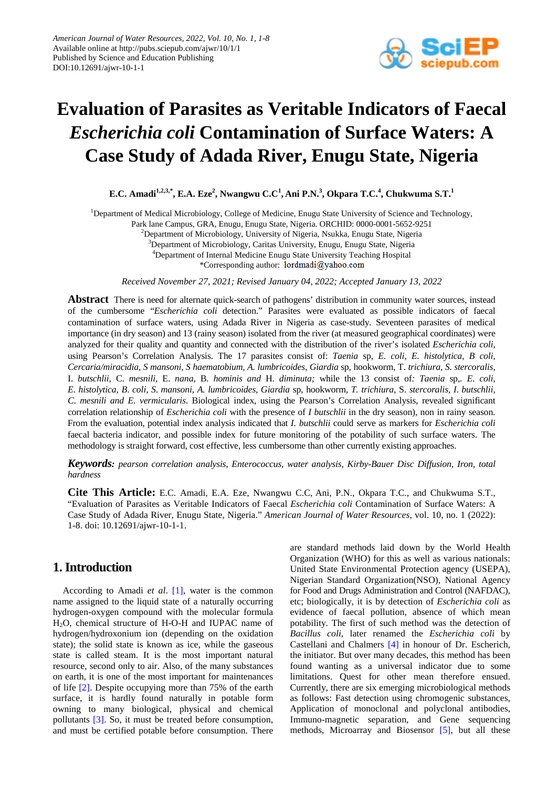

# **Evaluation of Parasites as Veritable Indicators of Faecal**  *Escherichia coli* **Contamination of Surface Waters: A Case Study of Adada River, Enugu State, Nigeria**

 $\mathbf{E.C.}\ \mathbf{A}\ \mathbf{m}$ adi $^{1,2,3,*},\ \mathbf{E.A.}\ \mathbf{Eze}^2,\ \mathbf{N}$ wangwu  $\mathbf{C.C^1, \mathbf{Ani} \ P.N.}^3,\ \mathbf{O}$ kpara  $\mathbf{T.C.^4},\ \mathbf{Chukwuma}\ \mathbf{S.T.}^1$ 

<sup>1</sup>Department of Medical Microbiology, College of Medicine, Enugu State University of Science and Technology,

Park lane Campus, GRA, Enugu, Enugu State, Nigeria. ORCHID: 0000-0001-5652-9251

<sup>2</sup>Department of Microbiology, University of Nigeria, Nsukka, Enugu State, Nigeria

<sup>3</sup>Department of Microbiology, Caritas University, Enugu, Enugu State, Nigeria

4 Department of Internal Medicine Enugu State University Teaching Hospital

\*Corresponding author: lordmadi@yahoo.com

*Received November 27, 2021; Revised January 04, 2022; Accepted January 13, 2022*

**Abstract** There is need for alternate quick-search of pathogens' distribution in community water sources, instead of the cumbersome "*Escherichia coli* detection." Parasites were evaluated as possible indicators of faecal contamination of surface waters, using Adada River in Nigeria as case-study. Seventeen parasites of medical importance (in dry season) and 13 (rainy season) isolated from the river (at measured geographical coordinates) were analyzed for their quality and quantity and connected with the distribution of the river's isolated *Escherichia coli,*  using Pearson's Correlation Analysis. The 17 parasites consist of: *Taenia* sp, *E*. *coli, E. histolytica, B coli, Cercaria/miracidia, S mansoni, S haematobium, A. lumbricoides, Giardia* sp, hookworm, T. *trichiura, S*. *stercoralis,*  I. *butschlii,* C. *mesnili,* E. *nana,* B*. hominis and* H. *diminuta;* while the 13 consist of*: Taenia* sp,*. E*. *coli, E*. *histolytica, B*. *coli, S*. *mansoni, A. lumbricoides, Giardia* sp, hookworm, *T. trichiura*, S. *stercoralis, I*. *butschlii, C*. *mesnili and E. vermicularis*. Biological index, using the Pearson's Correlation Analysis, revealed significant correlation relationship of *Escherichia coli* with the presence of *I butschlii* in the dry season), non in rainy season. From the evaluation, potential index analysis indicated that *I. butschlii* could serve as markers for *Escherichia coli* faecal bacteria indicator, and possible index for future monitoring of the potability of such surface waters. The methodology is straight forward, cost effective, less cumbersome than other currently existing approaches.

*Keywords: pearson correlation analysis, Enterococcus, water analysis, Kirby-Bauer Disc Diffusion, Iron, total hardness*

**Cite This Article:** E.C. Amadi, E.A. Eze, Nwangwu C.C, Ani, P.N., Okpara T.C., and Chukwuma S.T., "Evaluation of Parasites as Veritable Indicators of Faecal *Escherichia coli* Contamination of Surface Waters: A Case Study of Adada River, Enugu State, Nigeria." *American Journal of Water Resources*, vol. 10, no. 1 (2022): 1-8. doi: 10.12691/ajwr-10-1-1.

# **1. Introduction**

According to Amadi *et al*. [\[1\],](#page-7-0) water is the common name assigned to the liquid state of a naturally occurring hydrogen-oxygen compound with the molecular formula H2O, chemical structure of H-O-H and IUPAC name of hydrogen/hydroxonium ion (depending on the oxidation state); the solid state is known as ice, while the gaseous state is called steam. It is the most important natural resource, second only to air. Also, of the many substances on earth, it is one of the most important for maintenances of life [\[2\].](#page-7-1) Despite occupying more than 75% of the earth surface, it is hardly found naturally in potable form owning to many biological, physical and chemical pollutants [\[3\].](#page-7-2) So, it must be treated before consumption, and must be certified potable before consumption. There are standard methods laid down by the World Health Organization (WHO) for this as well as various nationals: United State Environmental Protection agency (USEPA), Nigerian Standard Organization(NSO), National Agency for Food and Drugs Administration and Control (NAFDAC), etc; biologically, it is by detection of *Escherichia coli* as evidence of faecal pollution, absence of which mean potability. The first of such method was the detection of *Bacillus coli*, later renamed the *Escherichia coli* by Castellani and Chalmers [\[4\]](#page-7-3) in honour of Dr. Escherich, the initiator. But over many decades, this method has been found wanting as a universal indicator due to some limitations. Quest for other mean therefore ensued. Currently, there are six emerging microbiological methods as follows: Fast detection using chromogenic substances, Application of monoclonal and polyclonal antibodies, Immuno-magnetic separation, and Gene sequencing methods, Microarray and Biosensor [\[5\],](#page-7-4) but all these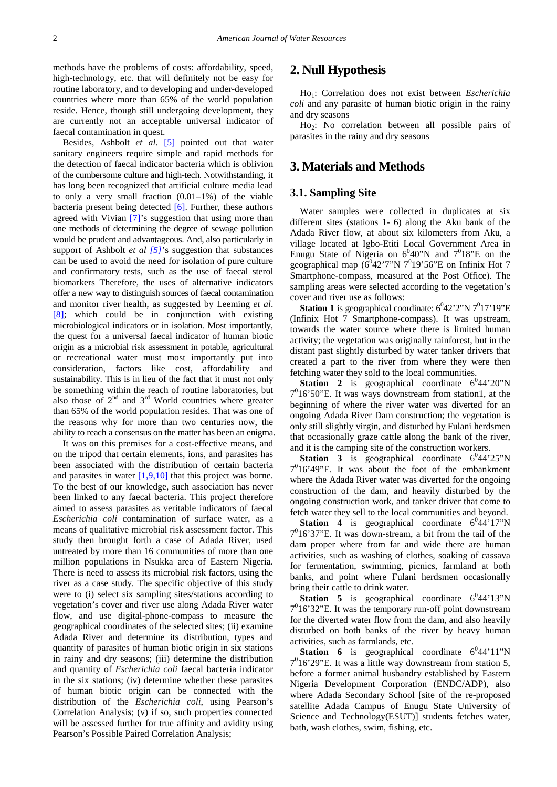methods have the problems of costs: affordability, speed, high-technology, etc. that will definitely not be easy for routine laboratory, and to developing and under-developed countries where more than 65% of the world population reside. Hence, though still undergoing development, they are currently not an acceptable universal indicator of faecal contamination in quest.

Besides, Ashbolt *et al*. [\[5\]](#page-7-4) pointed out that water sanitary engineers require simple and rapid methods for the detection of faecal indicator bacteria which is oblivion of the cumbersome culture and high-tech. Notwithstanding, it has long been recognized that artificial culture media lead to only a very small fraction (0.01–1%) of the viable bacteria present being detected [\[6\].](#page-7-5) Further, these authors agreed with Vivian [\[7\]'](#page-7-6)s suggestion that using more than one methods of determining the degree of sewage pollution would be prudent and advantageous. And, also particularly in support of Ashbolt *et al [\[5\]](#page-7-4)*'s suggestion that substances can be used to avoid the need for isolation of pure culture and confirmatory tests, such as the use of faecal sterol biomarkers Therefore, the uses of alternative indicators offer a new way to distinguish sources of faecal contamination and monitor river health, as suggested by Leeming *et al*. [\[8\];](#page-7-7) which could be in conjunction with existing microbiological indicators or in isolation. Most importantly, the quest for a universal faecal indicator of human biotic origin as a microbial risk assessment in potable, agricultural or recreational water must most importantly put into consideration, factors like cost, affordability and sustainability. This is in lieu of the fact that it must not only be something within the reach of routine laboratories, but also those of  $2<sup>nd</sup>$  and  $3<sup>rd</sup>$  World countries where greater than 65% of the world population resides. That was one of the reasons why for more than two centuries now, the ability to reach a consensus on the matter has been an enigma.

It was on this premises for a cost-effective means, and on the tripod that certain elements, ions, and parasites has been associated with the distribution of certain bacteria and parasites in water [\[1,9,10\]](#page-7-0) that this project was borne. To the best of our knowledge, such association has never been linked to any faecal bacteria. This project therefore aimed to assess parasites as veritable indicators of faecal *Escherichia coli* contamination of surface water, as a means of qualitative microbial risk assessment factor. This study then brought forth a case of Adada River, used untreated by more than 16 communities of more than one million populations in Nsukka area of Eastern Nigeria. There is need to assess its microbial risk factors, using the river as a case study. The specific objective of this study were to (i) select six sampling sites/stations according to vegetation's cover and river use along Adada River water flow, and use digital-phone-compass to measure the geographical coordinates of the selected sites; (ii) examine Adada River and determine its distribution, types and quantity of parasites of human biotic origin in six stations in rainy and dry seasons; (iii) determine the distribution and quantity of *Escherichia coli* faecal bacteria indicator in the six stations; (iv) determine whether these parasites of human biotic origin can be connected with the distribution of the *Escherichia coli*, using Pearson's Correlation Analysis; (v) if so, such properties connected will be assessed further for true affinity and avidity using Pearson's Possible Paired Correlation Analysis;

## **2. Null Hypothesis**

Ho1: Correlation does not exist between *Escherichia coli* and any parasite of human biotic origin in the rainy and dry seasons

Ho<sub>2</sub>: No correlation between all possible pairs of parasites in the rainy and dry seasons

#### **3. Materials and Methods**

#### **3.1. Sampling Site**

Water samples were collected in duplicates at six different sites (stations 1- 6) along the Aku bank of the Adada River flow, at about six kilometers from Aku, a village located at Igbo-Etiti Local Government Area in Enugu State of Nigeria on  $6^040''N$  and  $7^018''E$  on the geographical map  $(6^042'7''N 7^019'56''E$  on Infinix Hot 7 Smartphone-compass, measured at the Post Office). The sampling areas were selected according to the vegetation's cover and river use as follows:

**Station 1** is geographical coordinate:  $6^042'2''N77^017'19''E$ (Infinix Hot 7 Smartphone-compass). It was upstream, towards the water source where there is limited human activity; the vegetation was originally rainforest, but in the distant past slightly disturbed by water tanker drivers that created a part to the river from where they were then fetching water they sold to the local communities.

**Station 2** is geographical coordinate  $6^044^{\degree}20^{\degree}N$ 70 16'50"E. It was ways downstream from station1, at the beginning of where the river water was diverted for an ongoing Adada River Dam construction; the vegetation is only still slightly virgin, and disturbed by Fulani herdsmen that occasionally graze cattle along the bank of the river, and it is the camping site of the construction workers.

**Station 3** is geographical coordinate  $6^044^225$ "N  $7<sup>0</sup>16'49''E$ . It was about the foot of the embankment where the Adada River water was diverted for the ongoing construction of the dam, and heavily disturbed by the ongoing construction work, and tanker driver that come to fetch water they sell to the local communities and beyond.

**Station 4** is geographical coordinate  $6^044^117''N$ 70 16'37"E. It was down-stream, a bit from the tail of the dam proper where from far and wide there are human activities, such as washing of clothes, soaking of cassava for fermentation, swimming, picnics, farmland at both banks, and point where Fulani herdsmen occasionally bring their cattle to drink water.

**Station 5** is geographical coordinate  $6^044'13''N$ 70 16'32"E. It was the temporary run-off point downstream for the diverted water flow from the dam, and also heavily disturbed on both banks of the river by heavy human activities, such as farmlands, etc.

**Station 6** is geographical coordinate  $6^044'11''N$  $7^0$ 16'29"E. It was a little way downstream from station 5, before a former animal husbandry established by Eastern Nigeria Development Corporation (ENDC/ADP), also where Adada Secondary School [site of the re-proposed satellite Adada Campus of Enugu State University of Science and Technology(ESUT)] students fetches water, bath, wash clothes, swim, fishing, etc.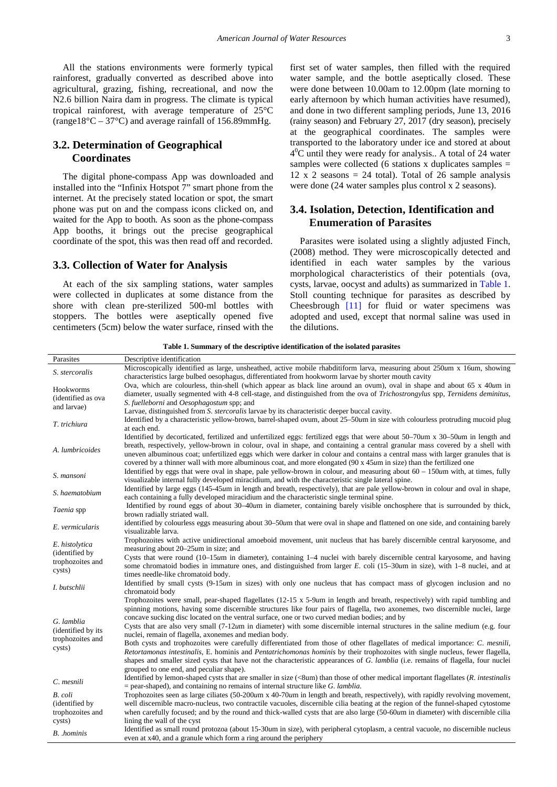All the stations environments were formerly typical rainforest, gradually converted as described above into agricultural, grazing, fishing, recreational, and now the N2.6 billion Naira dam in progress. The climate is typical tropical rainforest, with average temperature of 25°C (range18 $\degree$ C – 37 $\degree$ C) and average rainfall of 156.89mmHg.

## **3.2. Determination of Geographical Coordinates**

The digital phone-compass App was downloaded and installed into the "Infinix Hotspot 7" smart phone from the internet. At the precisely stated location or spot, the smart phone was put on and the compass icons clicked on, and waited for the App to booth. As soon as the phone-compass App booths, it brings out the precise geographical coordinate of the spot, this was then read off and recorded.

#### **3.3. Collection of Water for Analysis**

At each of the six sampling stations, water samples were collected in duplicates at some distance from the shore with clean pre-sterilized 500-ml bottles with stoppers. The bottles were aseptically opened five centimeters (5cm) below the water surface, rinsed with the first set of water samples, then filled with the required water sample, and the bottle aseptically closed. These were done between 10.00am to 12.00pm (late morning to early afternoon by which human activities have resumed), and done in two different sampling periods, June 13, 2016 (rainy season) and February 27, 2017 (dry season), precisely at the geographical coordinates. The samples were transported to the laboratory under ice and stored at about  $4^{0}$ C until they were ready for analysis.. A total of 24 water samples were collected (6 stations x duplicates samples  $=$ 12 x 2 seasons  $= 24$  total). Total of 26 sample analysis were done (24 water samples plus control x 2 seasons).

## **3.4. Isolation, Detection, Identification and Enumeration of Parasites**

Parasites were isolated using a slightly adjusted Finch, (2008) method. They were microscopically detected and identified in each water samples by the various morphological characteristics of their potentials (ova, cysts, larvae, oocyst and adults) as summarized in [Table 1.](#page-2-0) Stoll counting technique for parasites as described by Cheesbrough [\[11\]](#page-7-8) for fluid or water specimens was adopted and used, except that normal saline was used in the dilutions.

<span id="page-2-0"></span>

| Parasites                                                      | Descriptive identification                                                                                                                                                                                                                                                                                                                                                                                                                                                                                                                                                                                                                                                                                                                                                                                                                                                                                                                                                                                            |
|----------------------------------------------------------------|-----------------------------------------------------------------------------------------------------------------------------------------------------------------------------------------------------------------------------------------------------------------------------------------------------------------------------------------------------------------------------------------------------------------------------------------------------------------------------------------------------------------------------------------------------------------------------------------------------------------------------------------------------------------------------------------------------------------------------------------------------------------------------------------------------------------------------------------------------------------------------------------------------------------------------------------------------------------------------------------------------------------------|
| S. stercoralis                                                 | Microscopically identified as large, unsheathed, active mobile rhabditiform larva, measuring about $250 \mu m \times 16$ um, showing<br>characteristics large bulbed oesophagus, differentiated from hookworm larvae by shorter mouth cavity                                                                                                                                                                                                                                                                                                                                                                                                                                                                                                                                                                                                                                                                                                                                                                          |
| Hookworms<br>(identified as ova<br>and larvae)                 | Ova, which are colourless, thin-shell (which appear as black line around an ovum), oval in shape and about 65 x 40um in<br>diameter, usually segmented with 4-8 cell-stage, and distinguished from the ova of Trichostrongylus spp, Ternidens deminitus,<br>S. fuelleborni and Oesophagostum spp; and<br>Larvae, distinguished from S. stercoralis larvae by its characteristic deeper buccal cavity.                                                                                                                                                                                                                                                                                                                                                                                                                                                                                                                                                                                                                 |
| T. trichiura                                                   | Identified by a characteristic yellow-brown, barrel-shaped ovum, about 25-50um in size with colourless protruding mucoid plug<br>at each end.                                                                                                                                                                                                                                                                                                                                                                                                                                                                                                                                                                                                                                                                                                                                                                                                                                                                         |
| A. lumbricoides                                                | Identified by decorticated, fertilized and unfertilized eggs: fertilized eggs that were about 50–70 $\mu$ m x 30–50 $\mu$ m in length and<br>breath, respectively, yellow-brown in colour, oval in shape, and containing a central granular mass covered by a shell with<br>uneven albuminous coat; unfertilized eggs which were darker in colour and contains a central mass with larger granules that is<br>covered by a thinner wall with more albuminous coat, and more elongated (90 x 45um in size) than the fertilized one                                                                                                                                                                                                                                                                                                                                                                                                                                                                                     |
| S. mansoni                                                     | Identified by eggs that were oval in shape, pale yellow-brown in colour, and measuring about $60 - 150 \mu m$ with, at times, fully<br>visualizable internal fully developed miracidium, and with the characteristic single lateral spine.                                                                                                                                                                                                                                                                                                                                                                                                                                                                                                                                                                                                                                                                                                                                                                            |
| S. haematobium                                                 | Identified by large eggs (145-45 <i>um</i> in length and breath, respectively), that are pale yellow-brown in colour and oval in shape,<br>each containing a fully developed miracidium and the characteristic single terminal spine.                                                                                                                                                                                                                                                                                                                                                                                                                                                                                                                                                                                                                                                                                                                                                                                 |
| Taenia spp                                                     | Identified by round eggs of about 30-40um in diameter, containing barely visible onchosphere that is surrounded by thick,<br>brown radially striated wall.                                                                                                                                                                                                                                                                                                                                                                                                                                                                                                                                                                                                                                                                                                                                                                                                                                                            |
| E. vermicularis                                                | identified by colourless eggs measuring about 30–50 $\mu$ m that were oval in shape and flattened on one side, and containing barely<br>visualizable larva.                                                                                                                                                                                                                                                                                                                                                                                                                                                                                                                                                                                                                                                                                                                                                                                                                                                           |
| E. histolytica<br>(identified by<br>trophozoites and<br>cysts) | Trophozoites with active unidirectional amoeboid movement, unit nucleus that has barely discernible central karyosome, and<br>measuring about $20-25\mu m$ in size; and<br>Cysts that were round $(10-15\mu m)$ in diameter), containing $1-4$ nuclei with barely discernible central karyosome, and having<br>some chromatoid bodies in immature ones, and distinguished from larger E. coli (15–30 $\mu$ m in size), with 1–8 nuclei, and at<br>times needle-like chromatoid body.                                                                                                                                                                                                                                                                                                                                                                                                                                                                                                                                  |
| I. butschlii                                                   | Identified by small cysts (9-15um in sizes) with only one nucleus that has compact mass of glycogen inclusion and no<br>chromatoid body                                                                                                                                                                                                                                                                                                                                                                                                                                                                                                                                                                                                                                                                                                                                                                                                                                                                               |
| G. lamblia<br>(identified by its<br>trophozoites and<br>cysts) | Trophozoites were small, pear-shaped flagellates $(12-15 \times 5-9\mu m)$ in length and breath, respectively) with rapid tumbling and<br>spinning motions, having some discernible structures like four pairs of flagella, two axonemes, two discernible nuclei, large<br>concave sucking disc located on the ventral surface, one or two curved median bodies; and by<br>Cysts that are also very small $(7-12u$ m in diameter) with some discernible internal structures in the saline medium (e.g. four<br>nuclei, remain of flagella, axonemes and median body.<br>Both cysts and trophozoites were carefully differentiated from those of other flagellates of medical importance: C. mesnili,<br>Retortamonas intestinalis, E. hominis and Pentatrichomonas hominis by their trophozoites with single nucleus, fewer flagella,<br>shapes and smaller sized cysts that have not the characteristic appearances of G. lamblia (i.e. remains of flagella, four nuclei<br>grouped to one end, and peculiar shape). |
| C. mesnili                                                     | Identified by lemon-shaped cysts that are smaller in size $(\leq 8$ um) than those of other medical important flagellates (R. intestinalis<br>$=$ pear-shaped), and containing no remains of internal structure like G. lamblia.                                                                                                                                                                                                                                                                                                                                                                                                                                                                                                                                                                                                                                                                                                                                                                                      |
| B. coli<br>(identified by<br>trophozoites and                  | Trophozoites seen as large ciliates (50-200 $\mu$ m x 40-70 $\mu$ m in length and breath, respectively), with rapidly revolving movement,<br>well discernible macro-nucleus, two contractile vacuoles, discernible cilia beating at the region of the funnel-shaped cytostome<br>when carefully focused; and by the round and thick-walled cysts that are also large (50-60 $\mu$ m in diameter) with discernible cilia                                                                                                                                                                                                                                                                                                                                                                                                                                                                                                                                                                                               |
| cysts)<br><b>B.</b> .hominis                                   | lining the wall of the cyst<br>Identified as small round protozoa (about 15-30 am in size), with peripheral cytoplasm, a central vacuole, no discernible nucleus<br>even at x40, and a granule which form a ring around the periphery                                                                                                                                                                                                                                                                                                                                                                                                                                                                                                                                                                                                                                                                                                                                                                                 |

**Table 1. Summary of the descriptive identification of the isolated parasites**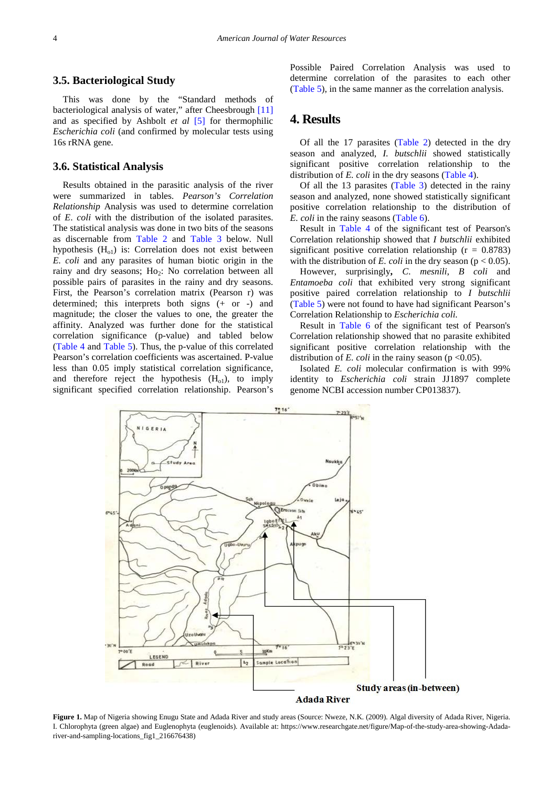#### **3.5. Bacteriological Study**

This was done by the "Standard methods of bacteriological analysis of water," after Cheesbrough [\[11\]](#page-7-8) and as specified by Ashbolt *et al* [\[5\]](#page-7-4) for thermophilic *Escherichia coli* (and confirmed by molecular tests using 16s rRNA gene.

#### **3.6. Statistical Analysis**

Results obtained in the parasitic analysis of the river were summarized in tables. *Pearson's Correlation Relationship* Analysis was used to determine correlation of *E*. *coli* with the distribution of the isolated parasites. The statistical analysis was done in two bits of the seasons as discernable from [Table 2](#page-4-0) and [Table 3](#page-4-1) below. Null hypothesis (H<sub>o1</sub>) is: Correlation does not exist between *E. coli* and any parasites of human biotic origin in the rainy and dry seasons; Ho<sub>2</sub>: No correlation between all possible pairs of parasites in the rainy and dry seasons. First, the Pearson's correlation matrix (Pearson r) was determined; this interprets both signs (+ or -) and magnitude; the closer the values to one, the greater the affinity. Analyzed was further done for the statistical correlation significance (p-value) and tabled below [\(Table 4](#page-5-0) and [Table 5\)](#page-5-1). Thus, the p-value of this correlated Pearson's correlation coefficients was ascertained. P-value less than 0.05 imply statistical correlation significance, and therefore reject the hypothesis  $(H<sub>o1</sub>)$ , to imply significant specified correlation relationship. Pearson's

Possible Paired Correlation Analysis was used to determine correlation of the parasites to each other [\(Table 5\)](#page-5-1), in the same manner as the correlation analysis.

# **4. Results**

Of all the 17 parasites [\(Table 2\)](#page-4-0) detected in the dry season and analyzed, *I. butschlii* showed statistically significant positive correlation relationship to the distribution of *E. coli* in the dry seasons [\(Table 4\)](#page-5-0).

Of all the 13 parasites [\(Table 3\)](#page-4-1) detected in the rainy season and analyzed, none showed statistically significant positive correlation relationship to the distribution of *E. coli* in the rainy seasons [\(Table 6\)](#page-5-2).

Result in [Table 4](#page-5-0) of the significant test of Pearson's Correlation relationship showed that *I butschlii* exhibited significant positive correlation relationship ( $r = 0.8783$ ) with the distribution of *E. coli* in the dry season ( $p < 0.05$ ).

However, surprisingly**,** *C*. *mesnili*, *B coli* and *Entamoeba coli* that exhibited very strong significant positive paired correlation relationship to *I butschlii* [\(Table 5\)](#page-5-1) were not found to have had significant Pearson's Correlation Relationship to *Escherichia coli.*

Result in [Table 6](#page-5-2) of the significant test of Pearson's Correlation relationship showed that no parasite exhibited significant positive correlation relationship with the distribution of *E. coli* in the rainy season ( $p \le 0.05$ ).

Isolated *E. coli* molecular confirmation is with 99% identity to *Escherichia coli* strain JJ1897 complete genome NCBI accession number CP013837).



**Figure 1.** Map of Nigeria showing Enugu State and Adada River and study areas (Source: Nweze, N.K. (2009). Algal diversity of Adada River, Nigeria. I. Chlorophyta (green algae) and Euglenophyta (euglenoids). Available at: https://www.researchgate.net/figure/Map-of-the-study-area-showing-Adadariver-and-sampling-locations\_fig1\_216676438)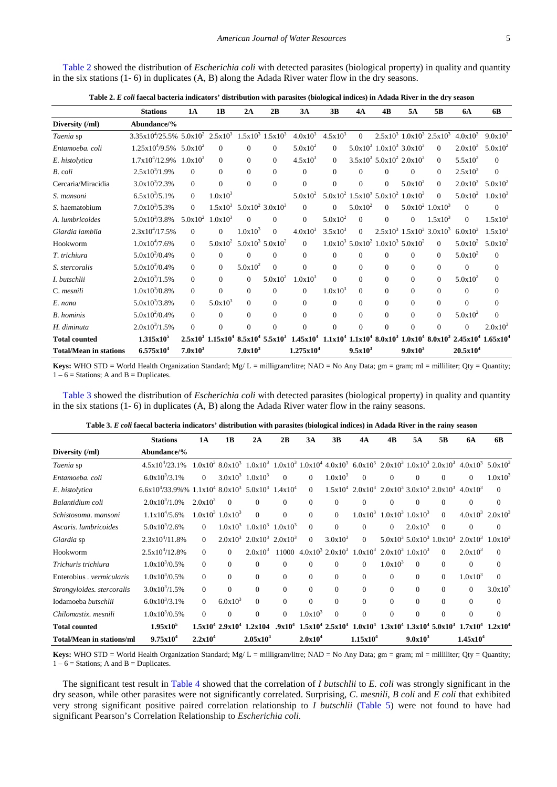[Table 2](#page-4-0) showed the distribution of *Escherichia coli* with detected parasites (biological property) in quality and quantity in the six stations (1- 6) in duplicates (A, B) along the Adada River water flow in the dry seasons.

| Table 2. E coli faecal bacteria indicators' distribution with parasites (biological indices) in Adada River in the dry season |  |  |
|-------------------------------------------------------------------------------------------------------------------------------|--|--|
|                                                                                                                               |  |  |

<span id="page-4-0"></span>

|                               | <b>Stations</b>                                                | <b>1A</b>    | 1 <sub>B</sub> | 2A             | 2B                             | 3A                                            | 3B           | 4A           | 4B       | 5A                                                                     | 5B                                                 | <b>6A</b>      | 6B                                                                             |
|-------------------------------|----------------------------------------------------------------|--------------|----------------|----------------|--------------------------------|-----------------------------------------------|--------------|--------------|----------|------------------------------------------------------------------------|----------------------------------------------------|----------------|--------------------------------------------------------------------------------|
| Diversity (/ml)               | Abundance/%                                                    |              |                |                |                                |                                               |              |              |          |                                                                        |                                                    |                |                                                                                |
| Taenia sp                     | $3.35x10^4/25.5\%$ $5.0x10^2$ $2.5x10^3$ $1.5x10^3$ $1.5x10^3$ |              |                |                |                                | $4.0x10^{3}$                                  | $4.5x10^{3}$ | $\mathbf{0}$ |          |                                                                        | $2.5x10^3$ $1.0x10^3$ $2.5x10^3$                   | $4.0x10^3$     | $9.0x10^3$                                                                     |
| Entamoeba, coli               | $1.25x10^4/9.5\%$ 5.0x10 <sup>2</sup>                          |              | $\Omega$       | $\Omega$       | $\Omega$                       | $5.0x10^2$                                    | $\Omega$     |              |          | $5.0x10^3$ $1.0x10^3$ $3.0x10^3$                                       | $\Omega$                                           | $2.0x10^3$     | $5.0x10^2$                                                                     |
| E. histolytica                | $1.7x10^{4}/12.9%$                                             | $1.0x10^{3}$ | $\Omega$       | $\Omega$       | $\Omega$                       | $4.5x10^{3}$                                  | $\theta$     |              |          | $3.5x10^3$ $5.0x10^2$ $2.0x10^3$                                       | $\Omega$                                           | $5.5x10^3$     | $\Omega$                                                                       |
| B. coli                       | $2.5x10^{3}/1.9\%$                                             | $\theta$     | $\Omega$       | $\Omega$       | $\mathbf{0}$                   | $\Omega$                                      | $\mathbf{0}$ | $\Omega$     | $\Omega$ | $\Omega$                                                               | $\Omega$                                           | $2.5x10^3$     | $\Omega$                                                                       |
| Cercaria/Miracidia            | $3.0x10^{3}/2.3\%$                                             | $\Omega$     | $\theta$       | $\Omega$       | $\mathbf{0}$                   | $\overline{0}$                                | $\mathbf{0}$ | $\mathbf{0}$ | $\Omega$ | $5.0x10^2$                                                             | $\Omega$                                           | $2.0x10^3$     | $5.0x10^2$                                                                     |
| S. mansoni                    | $6.5x10^{3}/5.1\%$                                             | $\Omega$     | $1.0x10^3$     |                |                                | $5.0x10^2$                                    |              |              |          | $5.0x10^2$ $1.5x10^3$ $5.0x10^2$ $1.0x10^3$                            | $\Omega$                                           | $5.0x10^2$     | $1.0x10^3$                                                                     |
| S. haematobium                | $7.0x10^3/5.3%$                                                | $\theta$     | $1.5x10^{3}$   |                | $5.0x10^2$ 3.0x10 <sup>3</sup> | $\Omega$                                      | $\Omega$     | $5.0x10^2$   | $\Omega$ |                                                                        | $5.0x10^2$ $1.0x10^3$                              | $\Omega$       | $\Omega$                                                                       |
| A. lumbricoides               | $5.0x10^{3}/3.8\%$                                             | $5.0x10^2$   | $1.0x10^{3}$   | $\Omega$       | $\Omega$                       | $\Omega$                                      | $5.0x10^2$   | $\Omega$     | $\Omega$ | $\Omega$                                                               | $1.5x10^{3}$                                       | $\Omega$       | $1.5x10^{3}$                                                                   |
| Giardia lamblia               | $2.3x10^{4}/17.5%$                                             | $\Omega$     | $\Omega$       | $1.0x10^3$     | $\Omega$                       | $4.0x10^3$                                    | $3.5x10^{3}$ | $\theta$     |          |                                                                        | $2.5x10^3$ 1.5x10 <sup>3</sup> 3.0x10 <sup>3</sup> | $6.0x10^{3}$   | $1.5x10^{3}$                                                                   |
| Hookworm                      | $1.0x10^{4}/7.6\%$                                             | $\Omega$     | $5.0x10^2$     |                | $5.0x10^3$ $5.0x10^2$          | $\Omega$                                      |              |              |          | $1.0x10^3$ 5.0x10 <sup>2</sup> 1.0x10 <sup>3</sup> 5.0x10 <sup>2</sup> | $\Omega$                                           | $5.0x10^2$     | $5.0x10^2$                                                                     |
| T. trichiura                  | $5.0x10^{2}/0.4\%$                                             | $\Omega$     | $\Omega$       | $\overline{0}$ | $\Omega$                       | $\theta$                                      | $\Omega$     | $\mathbf{0}$ | $\Omega$ | $\Omega$                                                               | $\Omega$                                           | $5.0x10^2$     | $\Omega$                                                                       |
| S. stercoralis                | $5.0x10^{2}/0.4\%$                                             | $\Omega$     | $\theta$       | $5.0x10^2$     | $\Omega$                       | $\theta$                                      | $\Omega$     | $\Omega$     | $\Omega$ | $\Omega$                                                               | $\Omega$                                           | $\theta$       | $\Omega$                                                                       |
| I. butschlii                  | $2.0x10^{3}/1.5%$                                              | $\theta$     | $\Omega$       | $\Omega$       | $5.0x10^2$                     | $1.0x10^{3}$                                  | $\Omega$     | $\Omega$     | $\Omega$ | $\Omega$                                                               | $\Omega$                                           | $5.0x10^2$     | $\Omega$                                                                       |
| C. mesnili                    | $1.0x10^{3}/0.8\%$                                             | $\theta$     | $\theta$       | $\overline{0}$ | $\mathbf{0}$                   | $\Omega$                                      | $1.0x10^{3}$ | $\Omega$     | $\Omega$ | $\Omega$                                                               | $\Omega$                                           | $\Omega$       | $\Omega$                                                                       |
| E. nana                       | $5.0x10^{3}/3.8\%$                                             | $\Omega$     | $5.0x10^3$     | $\Omega$       | $\theta$                       | $\Omega$                                      | $\Omega$     | $\Omega$     | $\Omega$ | $\Omega$                                                               | $\Omega$                                           | $\Omega$       | $\Omega$                                                                       |
| <b>B.</b> hominis             | $5.0x10^{2}/0.4\%$                                             | $\Omega$     | $\Omega$       | $\Omega$       | $\Omega$                       | $\Omega$                                      | $\Omega$     | $\Omega$     | $\Omega$ | $\Omega$                                                               | $\Omega$                                           | $5.0x10^2$     | $\Omega$                                                                       |
| H. diminuta                   | $2.0x10^{3}/1.5%$                                              | $\Omega$     | $\Omega$       | $\theta$       | $\overline{0}$                 | $\theta$                                      | $\Omega$     | $\mathbf{0}$ | $\Omega$ | $\Omega$                                                               | $\Omega$                                           | $\overline{0}$ | $2.0x10^{3}$                                                                   |
| <b>Total counted</b>          | $1.315x10^5$                                                   | $2.5x10^3$   |                |                |                                | $1.15x10^4$ $8.5x10^4$ $5.5x10^3$ $1.45x10^4$ |              |              |          |                                                                        |                                                    |                | $1.1x10^4$ $1.1x10^4$ $8.0x10^3$ $1.0x10^4$ $8.0x10^3$ $2.45x10^4$ $1.65x10^4$ |
| <b>Total/Mean in stations</b> | $6.575x10^{4}$                                                 | $7.0x10^3$   |                | $7.0x10^3$     |                                | 1.275x10 <sup>4</sup>                         |              | $9.5x10^3$   |          | $9.0x10^3$                                                             |                                                    | $20.5x10^4$    |                                                                                |

**Keys:** WHO STD = World Health Organization Standard;  $Mg/L =$  milligram/litre; NAD = No Any Data; gm = gram; ml = milliliter; Qty = Quantity;  $1 - 6$  = Stations; A and B = Duplicates.

[Table 3](#page-4-1) showed the distribution of *Escherichia coli* with detected parasites (biological property) in quality and quantity in the six stations (1- 6) in duplicates (A, B) along the Adada River water flow in the rainy seasons.

| Table 3. E coli faecal bacteria indicators' distribution with parasites (biological indices) in Adada River in the rainy season |  |  |
|---------------------------------------------------------------------------------------------------------------------------------|--|--|
|                                                                                                                                 |  |  |

<span id="page-4-1"></span>

|                                  | <b>Stations</b>                                                           | 1A                  | 1 <b>B</b>            | 2A                               | 2 <sub>B</sub> | 3A             | 3B           | 4A                                                             | 4B           | 5A                               | 5В       | 6A                                                                                                                                                                                                                      | 6B           |
|----------------------------------|---------------------------------------------------------------------------|---------------------|-----------------------|----------------------------------|----------------|----------------|--------------|----------------------------------------------------------------|--------------|----------------------------------|----------|-------------------------------------------------------------------------------------------------------------------------------------------------------------------------------------------------------------------------|--------------|
| Diversity (/ml)                  | Abundance/%                                                               |                     |                       |                                  |                |                |              |                                                                |              |                                  |          |                                                                                                                                                                                                                         |              |
| Taenia sp                        | $4.5x10^{4}/23.1\%$                                                       |                     |                       |                                  |                |                |              |                                                                |              |                                  |          | $1.0 \times 10^3$ $8.0 \times 10^3$ $1.0 \times 10^3$ $1.0 \times 10^3$ $1.0 \times 10^4$ $4.0 \times 10^3$ $6.0 \times 10^3$ $2.0 \times 10^3$ $1.0 \times 10^3$ $2.0 \times 10^3$ $4.0 \times 10^3$ $5.0 \times 10^3$ |              |
| Entamoeba, coli                  | $6.0x10^3/3.1\%$                                                          | $\Omega$            |                       | $3.0x10^3$ $1.0x10^3$            | $\Omega$       | $\Omega$       | $1.0x10^3$   | $\Omega$                                                       | $\Omega$     | $\Omega$                         | $\Omega$ | $\Omega$                                                                                                                                                                                                                | $1.0x10^{3}$ |
| E. histolytica                   | $6.6x10^{4}/33.9\%$ % $1.1x10^{4}$ $8.0x10^{3}$ $5.0x10^{3}$ $1.4x10^{4}$ |                     |                       |                                  |                | $\overline{0}$ |              | $1.5x10^4$ $2.0x10^3$ $2.0x10^3$ $3.0x10^3$ $2.0x10^3$         |              |                                  |          | $4.0x10^3$                                                                                                                                                                                                              | $\Omega$     |
| Balantidium coli                 | $2.0x10^{3}/1.0\%$                                                        | $2.0x10^3$          | $\Omega$              | $\Omega$                         | $\Omega$       | $\mathbf{0}$   | $\mathbf{0}$ | $\theta$                                                       | $\Omega$     | $\Omega$                         | $\Omega$ | $\mathbf{0}$                                                                                                                                                                                                            | $\Omega$     |
| Schistosoma, mansoni             | $1.1x10^{4}/5.6\%$                                                        |                     | $1.0x10^3$ $1.0x10^3$ | $\Omega$                         | $\Omega$       | $\Omega$       | $\Omega$     | $1.0x10^3$                                                     |              | $1.0x10^3$ $1.0x10^3$            | $\Omega$ | $4.0x10^3$ $2.0x10^3$                                                                                                                                                                                                   |              |
| Ascaris. lumbricoides            | $5.0x10^{3}/2.6\%$                                                        | $\Omega$            |                       | $1.0x10^3$ $1.0x10^3$            | $1.0x10^{3}$   | $\Omega$       | $\theta$     | $\Omega$                                                       | $\Omega$     | $2.0x10^{3}$                     | $\theta$ | $\mathbf{0}$                                                                                                                                                                                                            | $\Omega$     |
| Giardia sp                       | $2.3x10^{4}/11.8\%$                                                       | $\Omega$            |                       | $2.0x10^3$ $2.0x10^3$ $2.0x10^3$ |                | $\Omega$       | $3.0x10^3$   | $\Omega$                                                       |              | $5.0x10^3$ $5.0x10^3$ $1.0x10^3$ |          | $2.0x10^3$ $1.0x10^3$                                                                                                                                                                                                   |              |
| Hookworm                         | $2.5x10^{4}/12.8\%$                                                       | $\theta$            | 0                     | $2.0x10^{3}$                     |                |                |              | $11000$ $4.0x10^3$ $2.0x10^3$ $1.0x10^3$ $2.0x10^3$ $1.0x10^3$ |              |                                  | $\theta$ | $2.0x10^3$                                                                                                                                                                                                              | $\Omega$     |
| Trichuris trichiura              | $1.0x10^{3}/0.5\%$                                                        | $\Omega$            | $\Omega$              | $\Omega$                         | $\Omega$       | $\Omega$       | $\Omega$     | $\theta$                                                       | $1.0x10^{3}$ | $\Omega$                         | $\Omega$ | $\Omega$                                                                                                                                                                                                                | $\Omega$     |
| Enterobius . vermicularis        | $1.0x10^{3}/0.5\%$                                                        | $\Omega$            | $\Omega$              | $\Omega$                         | $\Omega$       | $\Omega$       | $\Omega$     | $\Omega$                                                       | $\Omega$     | $\Omega$                         | $\Omega$ | $1.0x10^{3}$                                                                                                                                                                                                            | $\Omega$     |
| Strongyloides. stercoralis       | $3.0x10^{3}/1.5%$                                                         | $\theta$            | $\Omega$              | $\Omega$                         | $\Omega$       | $\Omega$       | $\Omega$     | $\Omega$                                                       | $\Omega$     | $\Omega$                         | $\Omega$ | $\Omega$                                                                                                                                                                                                                | $3.0x10^3$   |
| Iodamoeba butschlii              | $6.0x10^{3}/3.1\%$                                                        | $\Omega$            | $6.0x10^{3}$          | $\Omega$                         | $\Omega$       | $\Omega$       | $\Omega$     | $\Omega$                                                       | $\Omega$     | $\Omega$                         | $\Omega$ | $\Omega$                                                                                                                                                                                                                | $\theta$     |
| Chilomastix, mesnili             | $1.0x10^{3}/0.5\%$                                                        | $\Omega$            | $\Omega$              | $\Omega$                         | $\Omega$       | $1.0x10^{3}$   | $\Omega$     | $\Omega$                                                       | $\Omega$     | $\Omega$                         | $\Omega$ | $\Omega$                                                                                                                                                                                                                | $\Omega$     |
| <b>Total counted</b>             | $1.95x10^5$                                                               |                     |                       | $1.5x10^4$ $2.9x10^4$ $1.2x104$  |                |                |              |                                                                |              |                                  |          | $.9x10^4$ $1.5x10^4$ $2.5x10^4$ $1.0x10^4$ $1.3x10^4$ $1.3x10^4$ $5.0x10^3$ $1.7x10^4$ $1.2x10^4$                                                                                                                       |              |
| <b>Total/Mean in stations/ml</b> | 9.75x10 <sup>4</sup>                                                      | 2.2x10 <sup>4</sup> |                       | 2.05x10 <sup>4</sup>             |                | $2.0x10^4$     |              | 1.15x10 <sup>4</sup>                                           |              | 9.0x10 <sup>3</sup>              |          | 1.45x10 <sup>4</sup>                                                                                                                                                                                                    |              |

**Keys:** WHO STD = World Health Organization Standard; Mg/ L = milligram/litre; NAD = No Any Data; gm = gram; ml = milliliter; Qty = Quantity;  $1 - 6$  = Stations; A and B = Duplicates.

The significant test result in [Table 4](#page-5-0) showed that the correlation of *I butschlii* to *E. coli* was strongly significant in the dry season, while other parasites were not significantly correlated. Surprising, *C*. *mesnili*, *B coli* and *E coli* that exhibited very strong significant positive paired correlation relationship to *I butschlii* [\(Table 5\)](#page-5-1) were not found to have had significant Pearson's Correlation Relationship to *Escherichia coli.*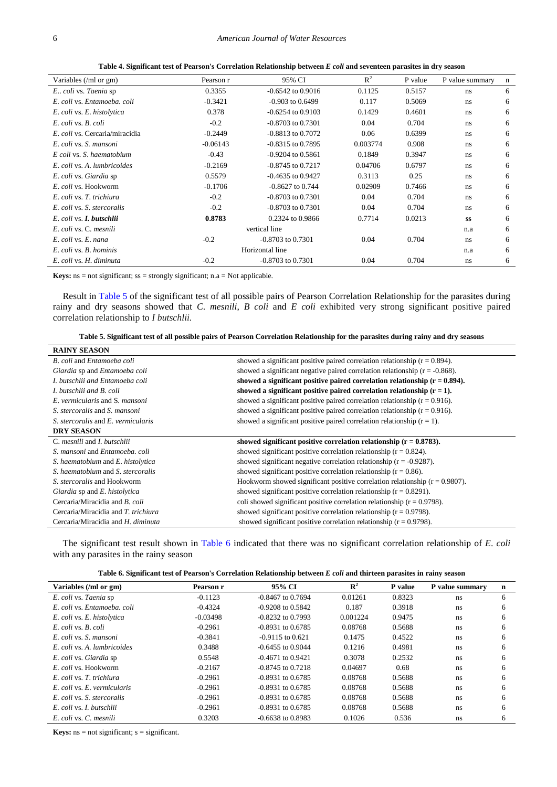**Table 4. Significant test of Pearson's Correlation Relationship between** *E coli* **and seventeen parasites in dry season**

<span id="page-5-0"></span>

|                                 |            | 95% CI                | $R^2$    |         |                 |   |
|---------------------------------|------------|-----------------------|----------|---------|-----------------|---|
| Variables (/ml or gm)           | Pearson r  |                       |          | P value | P value summary | n |
| E., coli vs. Taenia sp          | 0.3355     | $-0.6542$ to $0.9016$ | 0.1125   | 0.5157  | ns              | 6 |
| E. coli vs. Entamoeba, coli     | $-0.3421$  | $-0.903$ to $0.6499$  | 0.117    | 0.5069  | ns              | 6 |
| E. coli vs. E. histolytica      | 0.378      | $-0.6254$ to $0.9103$ | 0.1429   | 0.4601  | ns              | 6 |
| E. coli vs. B. coli             | $-0.2$     | $-0.8703$ to $0.7301$ | 0.04     | 0.704   | ns              | 6 |
| E. coli vs. Cercaria/miracidia  | $-0.2449$  | $-0.8813$ to $0.7072$ | 0.06     | 0.6399  | ns              | 6 |
| E. coli vs. S. mansoni          | $-0.06143$ | $-0.8315$ to 0.7895   | 0.003774 | 0.908   | ns              | 6 |
| E coli vs. S. haematobium       | $-0.43$    | $-0.9204$ to $0.5861$ | 0.1849   | 0.3947  | ns              | 6 |
| E. coli vs. A. lumbricoides     | $-0.2169$  | $-0.8745$ to $0.7217$ | 0.04706  | 0.6797  | ns              | 6 |
| E. coli vs. Giardia sp          | 0.5579     | $-0.4635$ to $0.9427$ | 0.3113   | 0.25    | ns              | 6 |
| E. coli vs. Hookworm            | $-0.1706$  | $-0.8627$ to $0.744$  | 0.02909  | 0.7466  | ns              | 6 |
| E. coli vs. T. trichiura        | $-0.2$     | $-0.8703$ to $0.7301$ | 0.04     | 0.704   | ns              | 6 |
| E. coli vs. S. stercoralis      | $-0.2$     | $-0.8703$ to $0.7301$ | 0.04     | 0.704   | ns              | 6 |
| E. coli vs. <b>I. butschlii</b> | 0.8783     | 0.2324 to 0.9866      | 0.7714   | 0.0213  | SS              | 6 |
| E. coli vs. C. mesnili          |            | vertical line         |          |         | n.a             | 6 |
| E. coli vs. E. nana             | $-0.2$     | $-0.8703$ to 0.7301   | 0.04     | 0.704   | ns              | 6 |
| E. coli vs. B. hominis          |            | Horizontal line       |          |         | n.a             | 6 |
| E. coli vs. H. diminuta         | $-0.2$     | $-0.8703$ to 0.7301   | 0.04     | 0.704   | ns              | 6 |

**Keys:**  $ns = not significant;$   $ss = strongly significant; n.a = Not applicable.$ 

Result i[n Table 5](#page-5-1) of the significant test of all possible pairs of Pearson Correlation Relationship for the parasites during rainy and dry seasons showed that *C*. *mesnili*, *B coli* and *E coli* exhibited very strong significant positive paired correlation relationship to *I butschlii.*

**Table 5. Significant test of all possible pairs of Pearson Correlation Relationship for the parasites during rainy and dry seasons**

<span id="page-5-1"></span>

| <b>RAINY SEASON</b>                 |                                                                                 |
|-------------------------------------|---------------------------------------------------------------------------------|
| B. coli and Entamoeba coli          | showed a significant positive paired correlation relationship ( $r = 0.894$ ).  |
| Giardia sp and Entamoeba coli       | showed a significant negative paired correlation relationship $(r = -0.868)$ .  |
| I. butschlii and Entamoeba coli     | showed a significant positive paired correlation relationship $(r = 0.894)$ .   |
| I. butschlii and B. coli            | showed a significant positive paired correlation relationship $(r = 1)$ .       |
| E. vermicularis and S. mansoni      | showed a significant positive paired correlation relationship ( $r = 0.916$ ).  |
| S. stercoralis and S. mansoni       | showed a significant positive paired correlation relationship ( $r = 0.916$ ).  |
| S. stercoralis and E. vermicularis  | showed a significant positive paired correlation relationship $(r = 1)$ .       |
| <b>DRY SEASON</b>                   |                                                                                 |
|                                     |                                                                                 |
| C. mesnili and I. butschlii         | showed significant positive correlation relationship $(r = 0.8783)$ .           |
| S. mansoni and Entamoeba, coli      | showed significant positive correlation relationship $(r = 0.824)$ .            |
| S. haematobium and E. histolytica   | showed significant negative correlation relationship $(r = -0.9287)$ .          |
| S. haematobium and S. stercoralis   | showed significant positive correlation relationship $(r = 0.86)$ .             |
| S. stercoralis and Hookworm         | Hookworm showed significant positive correlation relationship ( $r = 0.9807$ ). |
| Giardia sp and E. histolytica       | showed significant positive correlation relationship $(r = 0.8291)$ .           |
| Cercaria/Miracidia and B. coli      | coli showed significant positive correlation relationship $(r = 0.9798)$ .      |
| Cercaria/Miracidia and T. trichiura | showed significant positive correlation relationship $(r = 0.9798)$ .           |

The significant test result shown in [Table 6](#page-5-2) indicated that there was no significant correlation relationship of *E*. *coli* with any parasites in the rainy season

| Table 6. Significant test of Pearson's Correlation Relationship between E coli and thirteen parasites in rainy season |  |  |
|-----------------------------------------------------------------------------------------------------------------------|--|--|
|                                                                                                                       |  |  |

<span id="page-5-2"></span>

| Variables (/ml or gm)       | Pearson r  | 95% CI                | $\mathbb{R}^2$ | P value | P value summary | $\mathbf n$ |
|-----------------------------|------------|-----------------------|----------------|---------|-----------------|-------------|
| E. coli vs. Taenia sp       | $-0.1123$  | $-0.8467$ to $0.7694$ | 0.01261        | 0.8323  | ns              | 6           |
| E. coli vs. Entamoeba. coli | $-0.4324$  | $-0.9208$ to $0.5842$ | 0.187          | 0.3918  | ns              | 6           |
| E. coli vs. E. histolytica  | $-0.03498$ | $-0.8232$ to 0.7993   | 0.001224       | 0.9475  | ns              | 6           |
| E. coli vs. B. coli         | $-0.2961$  | $-0.8931$ to $0.6785$ | 0.08768        | 0.5688  | ns              | 6           |
| E. coli vs. S. mansoni      | $-0.3841$  | $-0.9115$ to $0.621$  | 0.1475         | 0.4522  | ns              | 6           |
| E. coli vs. A. lumbricoides | 0.3488     | $-0.6455$ to $0.9044$ | 0.1216         | 0.4981  | ns              | 6           |
| E. coli vs. Giardia sp      | 0.5548     | $-0.4671$ to $0.9421$ | 0.3078         | 0.2532  | ns              | 6           |
| E. coli vs. Hookworm        | $-0.2167$  | $-0.8745$ to $0.7218$ | 0.04697        | 0.68    | ns              | 6           |
| E. coli vs. T. trichiura    | $-0.2961$  | $-0.8931$ to $0.6785$ | 0.08768        | 0.5688  | ns              | 6           |
| E. coli vs. E. vermicularis | $-0.2961$  | $-0.8931$ to $0.6785$ | 0.08768        | 0.5688  | ns              | 6           |
| E. coli vs. S. stercoralis  | $-0.2961$  | $-0.8931$ to $0.6785$ | 0.08768        | 0.5688  | ns              | 6           |
| E. coli vs. I. butschlii    | $-0.2961$  | $-0.8931$ to $0.6785$ | 0.08768        | 0.5688  | ns              | 6           |
| E. coli vs. C. mesnili      | 0.3203     | $-0.6638$ to $0.8983$ | 0.1026         | 0.536   | ns              | 6           |

**Keys:**  $ns = not significant; s = significant.$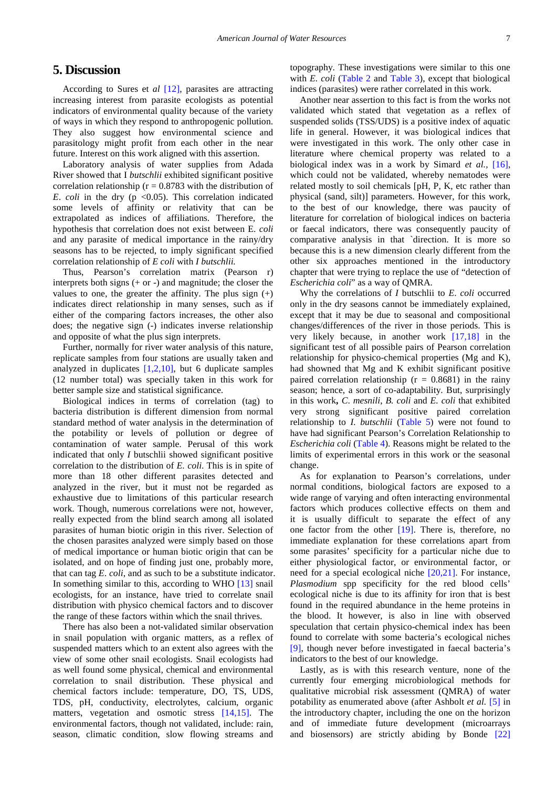## **5. Discussion**

According to Sures et *al* [\[12\],](#page-7-9) parasites are attracting increasing interest from parasite ecologists as potential indicators of environmental quality because of the variety of ways in which they respond to anthropogenic pollution. They also suggest how environmental science and parasitology might profit from each other in the near future. Interest on this work aligned with this assertion.

Laboratory analysis of water supplies from Adada River showed that I *butschlii* exhibited significant positive correlation relationship ( $r = 0.8783$  with the distribution of *E. coli* in the dry ( $p \le 0.05$ ). This correlation indicated some levels of affinity or relativity that can be extrapolated as indices of affiliations. Therefore, the hypothesis that correlation does not exist between E. *coli* and any parasite of medical importance in the rainy/dry seasons has to be rejected, to imply significant specified correlation relationship of *E coli* with *I butschlii.*

Thus, Pearson's correlation matrix (Pearson r) interprets both signs  $(+ or -)$  and magnitude; the closer the values to one, the greater the affinity. The plus sign  $(+)$ indicates direct relationship in many senses, such as if either of the comparing factors increases, the other also does; the negative sign (-) indicates inverse relationship and opposite of what the plus sign interprets.

Further, normally for river water analysis of this nature, replicate samples from four stations are usually taken and analyzed in duplicates  $[1,2,10]$ , but 6 duplicate samples (12 number total) was specially taken in this work for better sample size and statistical significance.

Biological indices in terms of correlation (tag) to bacteria distribution is different dimension from normal standard method of water analysis in the determination of the potability or levels of pollution or degree of contamination of water sample. Perusal of this work indicated that only *I* butschlii showed significant positive correlation to the distribution of *E. coli*. This is in spite of more than 18 other different parasites detected and analyzed in the river, but it must not be regarded as exhaustive due to limitations of this particular research work. Though, numerous correlations were not, however, really expected from the blind search among all isolated parasites of human biotic origin in this river. Selection of the chosen parasites analyzed were simply based on those of medical importance or human biotic origin that can be isolated, and on hope of finding just one, probably more, that can tag *E*. *coli*, and as such to be a substitute indicator. In something similar to this, according to WHO [\[13\]](#page-7-10) snail ecologists, for an instance, have tried to correlate snail distribution with physico chemical factors and to discover the range of these factors within which the snail thrives.

There has also been a not-validated similar observation in snail population with organic matters, as a reflex of suspended matters which to an extent also agrees with the view of some other snail ecologists. Snail ecologists had as well found some physical, chemical and environmental correlation to snail distribution. These physical and chemical factors include: temperature, DO, TS, UDS, TDS, pH, conductivity, electrolytes, calcium, organic matters, vegetation and osmotic stress [\[14,15\].](#page-7-11) The environmental factors, though not validated, include: rain, season, climatic condition, slow flowing streams and

topography. These investigations were similar to this one with *E. coli* [\(Table 2](#page-4-0) and [Table 3\)](#page-4-1), except that biological indices (parasites) were rather correlated in this work.

Another near assertion to this fact is from the works not validated which stated that vegetation as a reflex of suspended solids (TSS/UDS) is a positive index of aquatic life in general. However, it was biological indices that were investigated in this work. The only other case in literature where chemical property was related to a biological index was in a work by Simard *et al.,* [\[16\],](#page-7-12) which could not be validated, whereby nematodes were related mostly to soil chemicals [pH, P, K, etc rather than physical (sand, silt)] parameters. However, for this work, to the best of our knowledge, there was paucity of literature for correlation of biological indices on bacteria or faecal indicators, there was consequently paucity of comparative analysis in that `direction. It is more so because this is a new dimension clearly different from the other six approaches mentioned in the introductory chapter that were trying to replace the use of "detection of *Escherichia coli*" as a way of QMRA.

Why the correlations of *I* butschlii to *E*. *coli* occurred only in the dry seasons cannot be immediately explained, except that it may be due to seasonal and compositional changes/differences of the river in those periods. This is very likely because, in another work [\[17,18\]](#page-7-13) in the significant test of all possible pairs of Pearson correlation relationship for physico-chemical properties (Mg and K), had showned that Mg and K exhibit significant positive paired correlation relationship ( $r = 0.8681$ ) in the rainy season; hence, a sort of co-adaptability. But, surprisingly in this work**,** *C*. *mesnili*, *B. coli* and *E. coli* that exhibited very strong significant positive paired correlation relationship to *I. butschlii* [\(Table 5\)](#page-5-1) were not found to have had significant Pearson's Correlation Relationship to *Escherichia coli* [\(Table 4\)](#page-5-0). Reasons might be related to the limits of experimental errors in this work or the seasonal change.

As for explanation to Pearson's correlations, under normal conditions, biological factors are exposed to a wide range of varying and often interacting environmental factors which produces collective effects on them and it is usually difficult to separate the effect of any one factor from the other [\[19\].](#page-7-14) There is, therefore, no immediate explanation for these correlations apart from some parasites' specificity for a particular niche due to either physiological factor, or environmental factor, or need for a special ecological niche [\[20,21\].](#page-7-15) For instance, *Plasmodium* spp specificity for the red blood cells' ecological niche is due to its affinity for iron that is best found in the required abundance in the heme proteins in the blood. It however, is also in line with observed speculation that certain physico-chemical index has been found to correlate with some bacteria's ecological niches [\[9\],](#page-7-16) though never before investigated in faecal bacteria's indicators to the best of our knowledge.

Lastly, as is with this research venture, none of the currently four emerging microbiological methods for qualitative microbial risk assessment (QMRA) of water potability as enumerated above (after Ashbolt *et al.* [\[5\]](#page-7-4) in the introductory chapter, including the one on the horizon and of immediate future development (microarrays and biosensors) are strictly abiding by Bonde [\[22\]](#page-7-17)